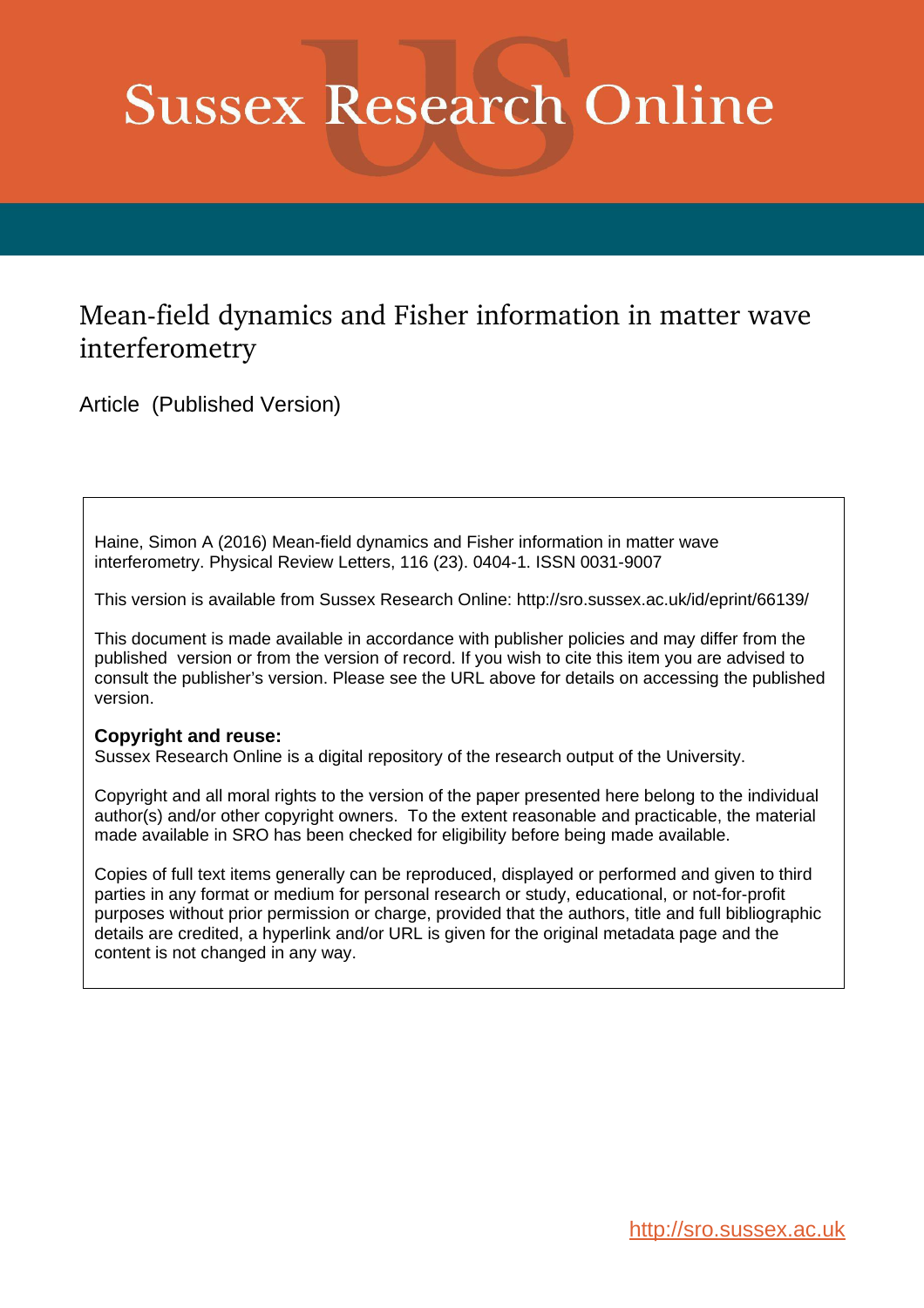## **Sussex Research Online**

## Mean-field dynamics and Fisher information in matter wave interferometry

Article (Published Version)

Haine, Simon A (2016) Mean-field dynamics and Fisher information in matter wave interferometry. Physical Review Letters, 116 (23). 0404-1. ISSN 0031-9007

This version is available from Sussex Research Online: http://sro.sussex.ac.uk/id/eprint/66139/

This document is made available in accordance with publisher policies and may differ from the published version or from the version of record. If you wish to cite this item you are advised to consult the publisher's version. Please see the URL above for details on accessing the published version.

## **Copyright and reuse:**

Sussex Research Online is a digital repository of the research output of the University.

Copyright and all moral rights to the version of the paper presented here belong to the individual author(s) and/or other copyright owners. To the extent reasonable and practicable, the material made available in SRO has been checked for eligibility before being made available.

Copies of full text items generally can be reproduced, displayed or performed and given to third parties in any format or medium for personal research or study, educational, or not-for-profit purposes without prior permission or charge, provided that the authors, title and full bibliographic details are credited, a hyperlink and/or URL is given for the original metadata page and the content is not changed in any way.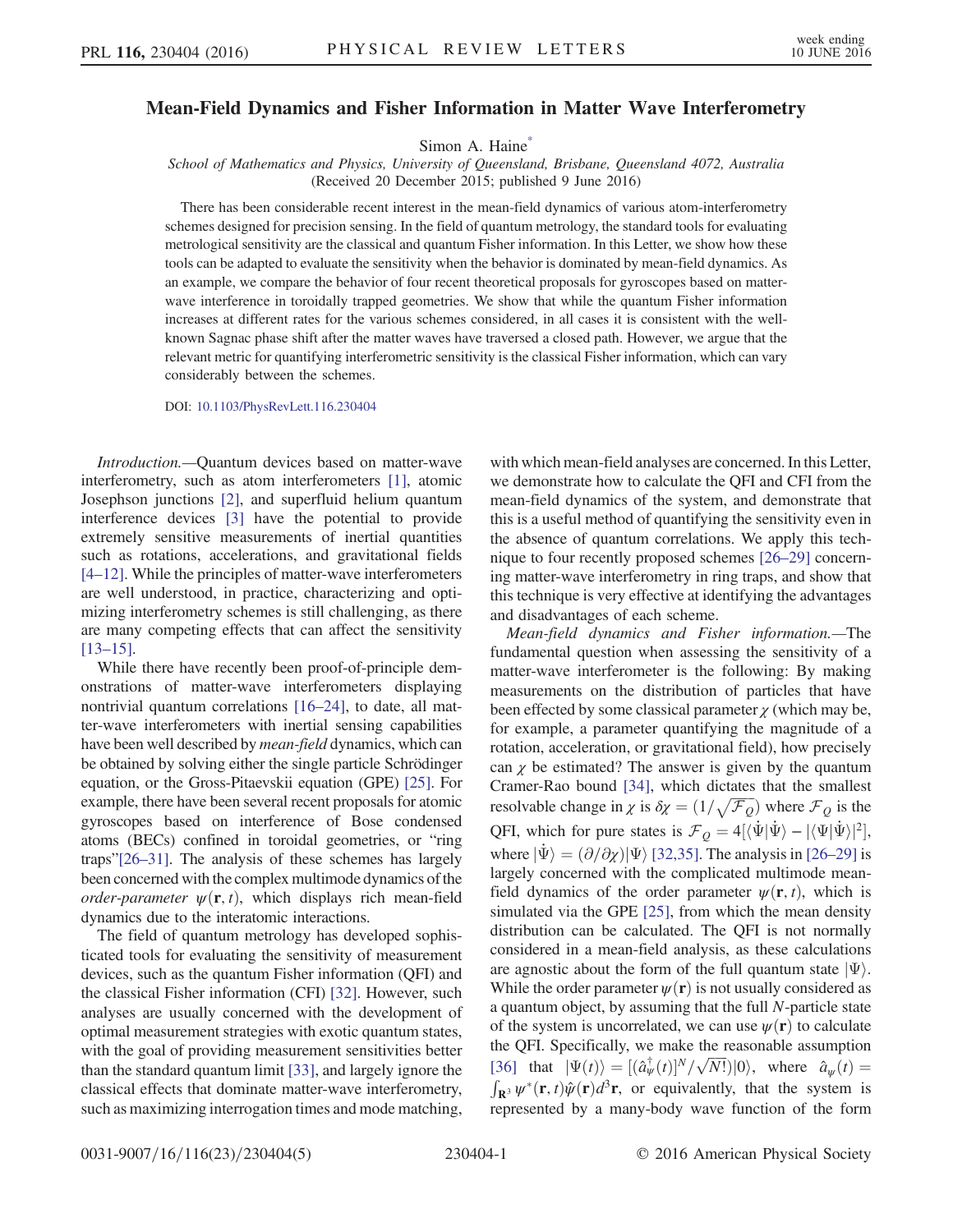## <span id="page-1-0"></span>Mean-Field Dynamics and Fisher Information in Matter Wave Interferometry

Simon A. Haine<sup>[\\*](#page-5-0)</sup>

School of Mathematics and Physics, University of Queensland, Brisbane, Queensland 4072, Australia (Received 20 December 2015; published 9 June 2016)

There has been considerable recent interest in the mean-field dynamics of various atom-interferometry schemes designed for precision sensing. In the field of quantum metrology, the standard tools for evaluating metrological sensitivity are the classical and quantum Fisher information. In this Letter, we show how these tools can be adapted to evaluate the sensitivity when the behavior is dominated by mean-field dynamics. As an example, we compare the behavior of four recent theoretical proposals for gyroscopes based on matterwave interference in toroidally trapped geometries. We show that while the quantum Fisher information increases at different rates for the various schemes considered, in all cases it is consistent with the wellknown Sagnac phase shift after the matter waves have traversed a closed path. However, we argue that the relevant metric for quantifying interferometric sensitivity is the classical Fisher information, which can vary considerably between the schemes.

DOI: [10.1103/PhysRevLett.116.230404](http://dx.doi.org/10.1103/PhysRevLett.116.230404)

Introduction.—Quantum devices based on matter-wave interferometry, such as atom interferometers [\[1\]](#page-5-1), atomic Josephson junctions [\[2\]](#page-5-2), and superfluid helium quantum interference devices [\[3\]](#page-5-3) have the potential to provide extremely sensitive measurements of inertial quantities such as rotations, accelerations, and gravitational fields [4–[12\].](#page-5-4) While the principles of matter-wave interferometers are well understood, in practice, characterizing and optimizing interferometry schemes is still challenging, as there are many competing effects that can affect the sensitivity [\[13](#page-5-5)–15].

While there have recently been proof-of-principle demonstrations of matter-wave interferometers displaying nontrivial quantum correlations [16–[24\],](#page-5-6) to date, all matter-wave interferometers with inertial sensing capabilities have been well described by *mean-field* dynamics, which can be obtained by solving either the single particle Schrödinger equation, or the Gross-Pitaevskii equation (GPE) [\[25\].](#page-5-7) For example, there have been several recent proposals for atomic gyroscopes based on interference of Bose condensed atoms (BECs) confined in toroidal geometries, or "ring traps"[26–[31\].](#page-5-8) The analysis of these schemes has largely been concerned with the complex multimode dynamics of the order-parameter  $\psi(\mathbf{r}, t)$ , which displays rich mean-field dynamics due to the interatomic interactions.

The field of quantum metrology has developed sophisticated tools for evaluating the sensitivity of measurement devices, such as the quantum Fisher information (QFI) and the classical Fisher information (CFI) [\[32\]](#page-5-9). However, such analyses are usually concerned with the development of optimal measurement strategies with exotic quantum states, with the goal of providing measurement sensitivities better than the standard quantum limit [\[33\]](#page-5-10), and largely ignore the classical effects that dominate matter-wave interferometry, such as maximizing interrogation times and mode matching, with which mean-field analyses are concerned. In this Letter, we demonstrate how to calculate the QFI and CFI from the mean-field dynamics of the system, and demonstrate that this is a useful method of quantifying the sensitivity even in the absence of quantum correlations. We apply this technique to four recently proposed schemes [26–[29\]](#page-5-8) concerning matter-wave interferometry in ring traps, and show that this technique is very effective at identifying the advantages and disadvantages of each scheme.

Mean-field dynamics and Fisher information.—The fundamental question when assessing the sensitivity of a matter-wave interferometer is the following: By making measurements on the distribution of particles that have been effected by some classical parameter  $\chi$  (which may be, for example, a parameter quantifying the magnitude of a rotation, acceleration, or gravitational field), how precisely can  $\gamma$  be estimated? The answer is given by the quantum Cramer-Rao bound [\[34\],](#page-5-11) which dictates that the smallest resolvable change in  $\chi$  is  $\delta \chi = (1/\sqrt{\mathcal{F}_Q})$  where  $\mathcal{F}_Q$  is the QFI, which for pure states is  $\mathcal{F}_Q = 4[\langle \dot{\Psi} | \dot{\Psi} \rangle - |\langle \Psi | \dot{\Psi} \rangle|^2],$ where  $|\Psi\rangle = (\partial/\partial \chi)|\Psi\rangle$  [\[32,35\]](#page-5-9). The analysis in [\[26](#page-5-8)–29] is largely concerned with the complicated multimode meanfield dynamics of the order parameter  $\psi(\mathbf{r}, t)$ , which is simulated via the GPE [\[25\],](#page-5-7) from which the mean density distribution can be calculated. The QFI is not normally considered in a mean-field analysis, as these calculations are agnostic about the form of the full quantum state  $|\Psi\rangle$ . While the order parameter  $\psi(\mathbf{r})$  is not usually considered as a quantum object, by assuming that the full N-particle state of the system is uncorrelated, we can use  $\psi(\mathbf{r})$  to calculate the QFI. Specifically, we make the reasonable assumption [\[36\]](#page-5-12) that  $|\Psi(t)\rangle = [(\hat{a}^{\dagger}_{\psi}(t)]^N/\sqrt{N!})|0\rangle$ , where  $\hat{a}_{\psi}(t) =$  $\int_{\mathbf{R}^3} \psi^*(\mathbf{r},t) \hat{\psi}(\mathbf{r}) d^3 \mathbf{r}$ , or equivalently, that the system is<br>represented by a many-body wave function of the form represented by a many-body wave function of the form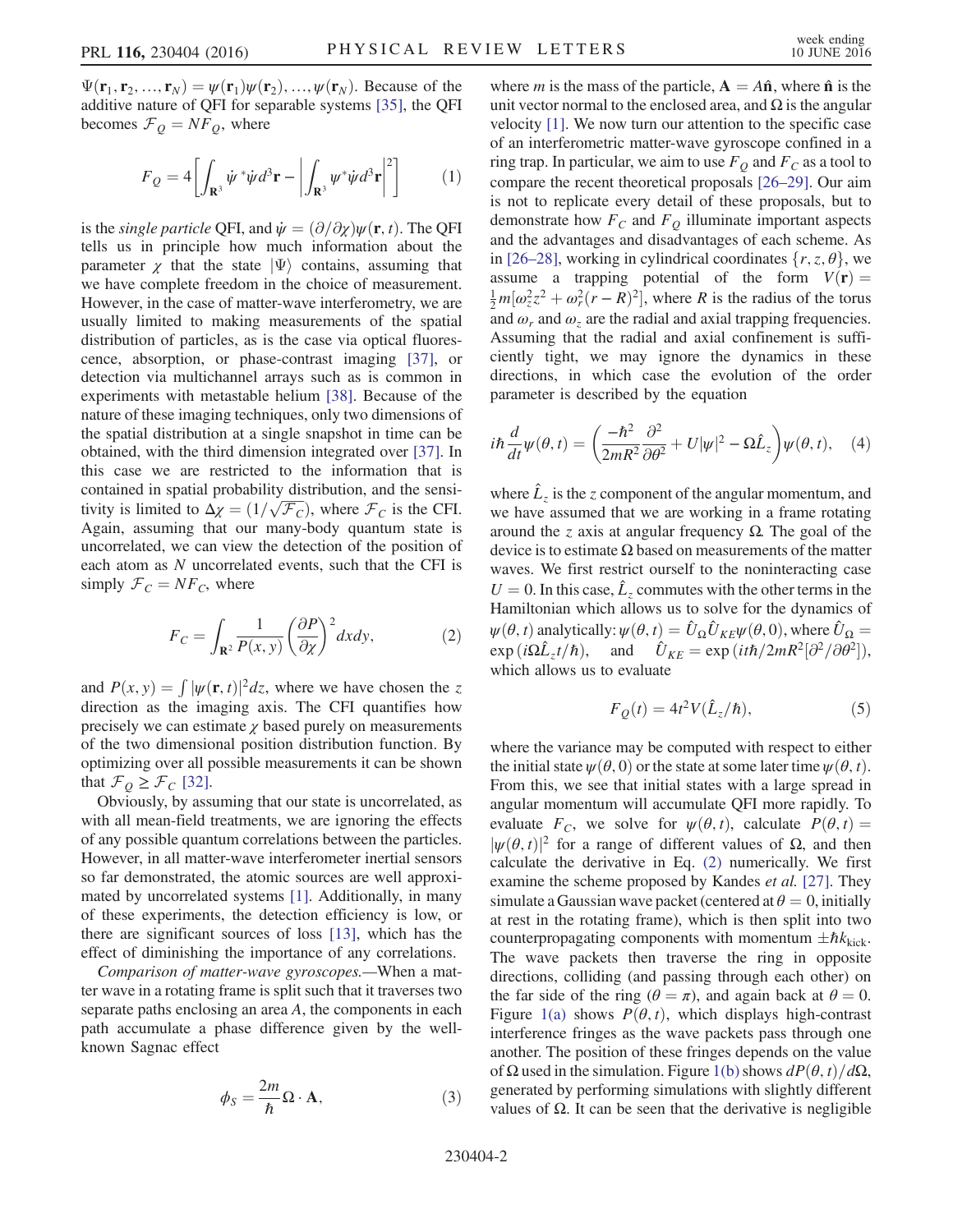$\Psi(\mathbf{r}_1, \mathbf{r}_2, ..., \mathbf{r}_N) = \psi(\mathbf{r}_1)\psi(\mathbf{r}_2), ..., \psi(\mathbf{r}_N)$ . Because of the additive nature of QFI for separable systems [\[35\],](#page-5-13) the QFI becomes  $\mathcal{F}_Q = N F_Q$ , where

$$
F_Q = 4 \left[ \int_{\mathbf{R}^3} \dot{\psi}^* \dot{\psi} d^3 \mathbf{r} - \left| \int_{\mathbf{R}^3} \psi^* \dot{\psi} d^3 \mathbf{r} \right|^2 \right] \tag{1}
$$

is the *single particle* QFI, and  $\dot{\psi} = (\partial/\partial \chi)\psi(\mathbf{r}, t)$ . The QFI tells us in principle how much information about the parameter  $\chi$  that the state  $|\Psi\rangle$  contains, assuming that we have complete freedom in the choice of measurement. However, in the case of matter-wave interferometry, we are usually limited to making measurements of the spatial distribution of particles, as is the case via optical fluorescence, absorption, or phase-contrast imaging [\[37\],](#page-5-14) or detection via multichannel arrays such as is common in experiments with metastable helium [\[38\].](#page-5-15) Because of the nature of these imaging techniques, only two dimensions of the spatial distribution at a single snapshot in time can be obtained, with the third dimension integrated over [\[37\].](#page-5-14) In this case we are restricted to the information that is contained in spatial probability distribution, and the sensitivity is limited to  $\Delta \chi = (1/\sqrt{\mathcal{F}_C})$ , where  $\mathcal{F}_C$  is the CFI.<br>Again, assuming that our many-body quantum state is Again, assuming that our many-body quantum state is uncorrelated, we can view the detection of the position of each atom as N uncorrelated events, such that the CFI is simply  $\mathcal{F}_C = NF_C$ , where

<span id="page-2-0"></span>
$$
F_C = \int_{\mathbf{R}^2} \frac{1}{P(x, y)} \left(\frac{\partial P}{\partial x}\right)^2 dx dy, \tag{2}
$$

and  $P(x, y) = \int |\psi(\mathbf{r}, t)|^2 dz$ , where we have chosen the z<br>direction as the imaging axis. The CEI quantifies how direction as the imaging axis. The CFI quantifies how precisely we can estimate  $\chi$  based purely on measurements of the two dimensional position distribution function. By optimizing over all possible measurements it can be shown that  $\mathcal{F}_O \geq \mathcal{F}_C$  [\[32\]](#page-5-9).

Obviously, by assuming that our state is uncorrelated, as with all mean-field treatments, we are ignoring the effects of any possible quantum correlations between the particles. However, in all matter-wave interferometer inertial sensors so far demonstrated, the atomic sources are well approximated by uncorrelated systems [\[1\]](#page-5-1). Additionally, in many of these experiments, the detection efficiency is low, or there are significant sources of loss [\[13\],](#page-5-5) which has the effect of diminishing the importance of any correlations.

<span id="page-2-1"></span>Comparison of matter-wave gyroscopes.—When a matter wave in a rotating frame is split such that it traverses two separate paths enclosing an area A, the components in each path accumulate a phase difference given by the wellknown Sagnac effect

$$
\phi_S = \frac{2m}{\hbar} \Omega \cdot \mathbf{A},\tag{3}
$$

where *m* is the mass of the particle,  $A = A\hat{n}$ , where  $\hat{n}$  is the unit vector normal to the enclosed area, and  $\Omega$  is the angular velocity [\[1\]](#page-5-1). We now turn our attention to the specific case of an interferometric matter-wave gyroscope confined in a ring trap. In particular, we aim to use  $F_Q$  and  $F_C$  as a tool to compare the recent theoretical proposals [26–[29\].](#page-5-8) Our aim is not to replicate every detail of these proposals, but to demonstrate how  $F_C$  and  $F_Q$  illuminate important aspects and the advantages and disadvantages of each scheme. As in [26–[28\],](#page-5-8) working in cylindrical coordinates  $\{r, z, \theta\}$ , we assume a trapping potential of the form  $V(\mathbf{r}) =$  $\frac{1}{2}m[\omega_z^2 z^2 + \omega_r^2 (r - R)^2]$ , where R is the radius of the torus<br>and  $\omega$  and  $\omega$  are the radial and axial trapping frequencies. and  $\omega_r$  and  $\omega_z$  are the radial and axial trapping frequencies. Assuming that the radial and axial confinement is sufficiently tight, we may ignore the dynamics in these directions, in which case the evolution of the order parameter is described by the equation

<span id="page-2-2"></span>
$$
i\hbar \frac{d}{dt}\psi(\theta, t) = \left(\frac{-\hbar^2}{2mR^2}\frac{\partial^2}{\partial \theta^2} + U|\psi|^2 - \Omega \hat{L}_z\right)\psi(\theta, t), \quad (4)
$$

where  $\hat{L}_z$  is the z component of the angular momentum, and we have assumed that we are working in a frame rotating around the *z* axis at angular frequency  $Ω$ . The goal of the device is to estimate Ω based on measurements of the matter waves. We first restrict ourself to the noninteracting case  $U = 0$ . In this case,  $\hat{L}_z$  commutes with the other terms in the Hamiltonian which allows us to solve for the dynamics of  $\psi(\theta, t)$  analytically:  $\psi(\theta, t) = \hat{U}_{\Omega} \hat{U}_{KE} \psi(\theta, 0)$ , where  $\hat{U}_{\Omega} =$  $\exp(i\Omega \hat{L}_z t/\hbar),$  and  $\hat{U}_{KE} = \exp(i t \hbar / 2mR^2 [\partial^2 / \partial \theta^2]),$ <br>which allows us to evaluate which allows us to evaluate

$$
F_Q(t) = 4t^2 V(\hat{L}_z/\hbar),\tag{5}
$$

where the variance may be computed with respect to either the initial state  $\psi(\theta, 0)$  or the state at some later time  $\psi(\theta, t)$ . From this, we see that initial states with a large spread in angular momentum will accumulate QFI more rapidly. To evaluate  $F_c$ , we solve for  $\psi(\theta, t)$ , calculate  $P(\theta, t) =$  $|\psi(\theta, t)|^2$  for a range of different values of  $\Omega$ , and then calculate the derivative in Eq. [\(2\)](#page-2-0) numerically. We first examine the scheme proposed by Kandes et al. [\[27\]](#page-5-16). They simulate a Gaussian wave packet (centered at  $\theta = 0$ , initially at rest in the rotating frame), which is then split into two counterpropagating components with momentum  $\pm \hbar k_{\text{kick}}$ . The wave packets then traverse the ring in opposite directions, colliding (and passing through each other) on the far side of the ring ( $\theta = \pi$ ), and again back at  $\theta = 0$ . Figure [1\(a\)](#page-3-0) shows  $P(\theta, t)$ , which displays high-contrast interference fringes as the wave packets pass through one another. The position of these fringes depends on the value of  $\Omega$  used in the simulation. Figure [1\(b\)](#page-3-0) shows  $dP(\theta, t)/d\Omega$ , generated by performing simulations with slightly different values of Ω. It can be seen that the derivative is negligible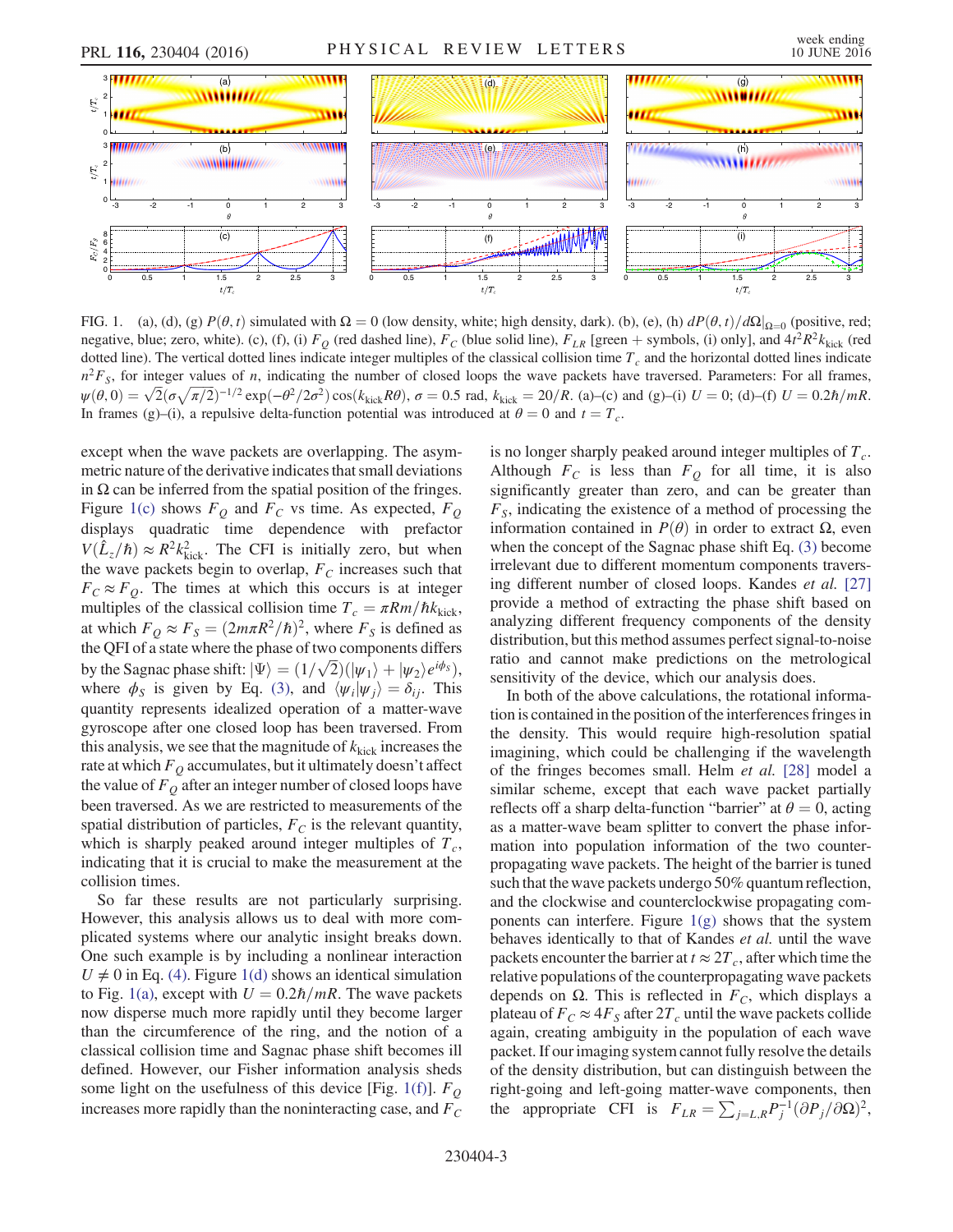<span id="page-3-0"></span>

FIG. 1. (a), (d), (g)  $P(\theta, t)$  simulated with  $\Omega = 0$  (low density, white; high density, dark). (b), (e), (h)  $dP(\theta, t)/d\Omega|_{\Omega=0}$  (positive, red; negative, blue; zero, white). (c), (f), (i)  $F_Q$  (red dashed line),  $F_C$  (blue solid line),  $F_{LR}$  [green + symbols, (i) only], and  $4t^2R^2k_{\rm kick}$  (red dated lines indicate integer multiples of the classical collision ti dotted line). The vertical dotted lines indicate integer multiples of the classical collision time  $T_c$  and the horizontal dotted lines indicate  $n^2F_s$ , for integer values of n, indicating the number of closed loops the wave packets have traversed. Parameters: For all frames,  $\psi(\theta,0) = \sqrt{2} (\sigma \sqrt{\pi/2})^{-1/2} \exp(-\theta^2/2\sigma^2) \cos(k_{\text{kick}}R\theta), \sigma = 0.5 \text{ rad}, k_{\text{kick}} = 20/R.$  (a)–(c) and (g)–(i)  $U = 0$ ; (d)–(f)  $U = 0.2\hbar/mR$ . In frames (g)–(i), a repulsive delta-function potential was introduced at  $\theta = 0$  and  $t = T_c$ .

except when the wave packets are overlapping. The asymmetric nature of the derivative indicates that small deviations in  $\Omega$  can be inferred from the spatial position of the fringes. Figure [1\(c\)](#page-3-0) shows  $F_Q$  and  $F_C$  vs time. As expected,  $F_Q$ displays quadratic time dependence with prefactor  $V(\hat{L}_z/\hbar) \approx R^2 k_{\text{kick}}^2$ . The CFI is initially zero, but when<br>the wave packets begin to overlap  $F_c$  increases such that the wave packets begin to overlap,  $F_C$  increases such that  $F_C \approx F_O$ . The times at which this occurs is at integer multiples of the classical collision time  $T_c = \pi Rm/\hbar k_{\text{kick}}$ , at which  $F_Q \approx F_S = (2m\pi R^2/\hbar)^2$ , where  $F_S$  is defined as the QFI of a state where the phase of two components differs by the Sagnac phase shift:  $|\Psi\rangle = (1/\sqrt{2})(|\psi_1\rangle + |\psi_2\rangle e^{i\phi_3})$ ,<br>where  $\phi_0$  is given by Eq. (3) and  $\langle \psi_0 | \psi_1 \rangle = \delta_0$ . This where  $\phi_S$  is given by Eq. [\(3\)](#page-2-1), and  $\langle \psi_i | \psi_j \rangle = \delta_{ij}$ . This quantity represents idealized operation of a matter-wave gyroscope after one closed loop has been traversed. From this analysis, we see that the magnitude of  $k_{\text{kick}}$  increases the rate at which  $F<sub>O</sub>$  accumulates, but it ultimately doesn't affect the value of  $F<sub>O</sub>$  after an integer number of closed loops have been traversed. As we are restricted to measurements of the spatial distribution of particles,  $F_C$  is the relevant quantity, which is sharply peaked around integer multiples of  $T_c$ , indicating that it is crucial to make the measurement at the collision times.

So far these results are not particularly surprising. However, this analysis allows us to deal with more complicated systems where our analytic insight breaks down. One such example is by including a nonlinear interaction  $U \neq 0$  in Eq. [\(4\)](#page-2-2). Figure [1\(d\)](#page-3-0) shows an identical simulation to Fig. [1\(a\),](#page-3-0) except with  $U = 0.2\hbar/mR$ . The wave packets now disperse much more rapidly until they become larger than the circumference of the ring, and the notion of a classical collision time and Sagnac phase shift becomes ill defined. However, our Fisher information analysis sheds some light on the usefulness of this device [Fig. [1\(f\)\]](#page-3-0).  $F_Q$ increases more rapidly than the noninteracting case, and  $F_C$  is no longer sharply peaked around integer multiples of  $T_c$ . Although  $F_C$  is less than  $F_Q$  for all time, it is also significantly greater than zero, and can be greater than  $F<sub>S</sub>$ , indicating the existence of a method of processing the information contained in  $P(θ)$  in order to extract Ω, even when the concept of the Sagnac phase shift Eq. [\(3\)](#page-2-1) become irrelevant due to different momentum components traversing different number of closed loops. Kandes et al. [\[27\]](#page-5-16) provide a method of extracting the phase shift based on analyzing different frequency components of the density distribution, but this method assumes perfect signal-to-noise ratio and cannot make predictions on the metrological sensitivity of the device, which our analysis does.

In both of the above calculations, the rotational information is contained in the position of the interferences fringes in the density. This would require high-resolution spatial imagining, which could be challenging if the wavelength of the fringes becomes small. Helm et al. [\[28\]](#page-5-17) model a similar scheme, except that each wave packet partially reflects off a sharp delta-function "barrier" at  $\theta = 0$ , acting as a matter-wave beam splitter to convert the phase information into population information of the two counterpropagating wave packets. The height of the barrier is tuned such that the wave packets undergo 50% quantum reflection, and the clockwise and counterclockwise propagating components can interfere. Figure  $1(g)$  shows that the system behaves identically to that of Kandes et al. until the wave packets encounter the barrier at  $t \approx 2T_c$ , after which time the relative populations of the counterpropagating wave packets depends on  $\Omega$ . This is reflected in  $F_C$ , which displays a plateau of  $F_C \approx 4F_S$  after  $2T_c$  until the wave packets collide again, creating ambiguity in the population of each wave packet. If our imaging system cannot fully resolve the details of the density distribution, but can distinguish between the right-going and left-going matter-wave components, then the appropriate CFI is  $F_{LR} = \sum_{j=L,R} P_j^{-1} (\partial P_j / \partial \Omega)^2$ ,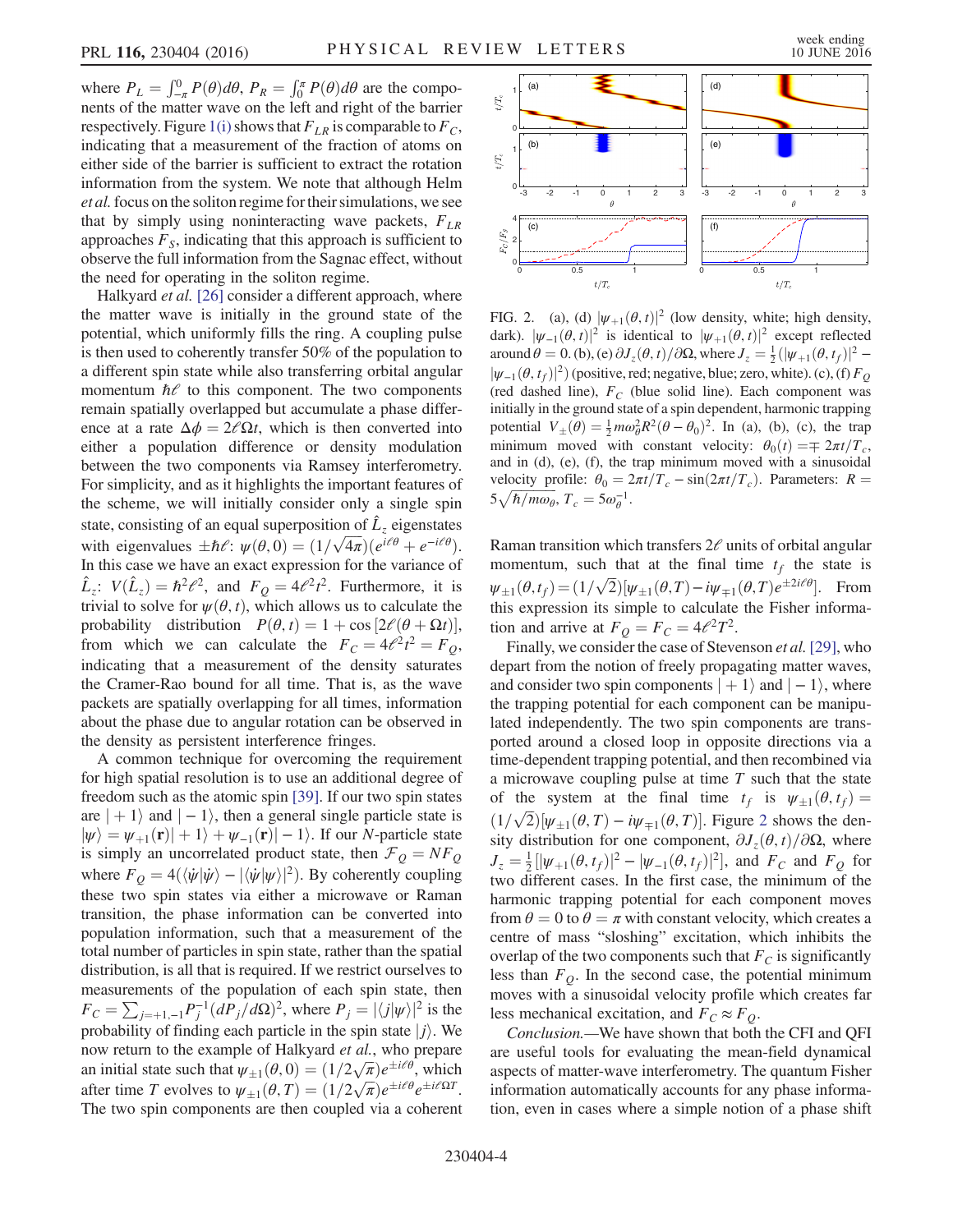where  $P_L = \int_{-\pi}^{0} P(\theta) d\theta$ ,  $P_R = \int_{0}^{\pi} P(\theta) d\theta$  are the components of the matter wave on the left and right of the harrier nents of the matter wave on the left and right of the barrier respectively. Figure [1\(i\)](#page-3-0) shows that  $F_{LR}$  is comparable to  $F_C$ , indicating that a measurement of the fraction of atoms on either side of the barrier is sufficient to extract the rotation information from the system. We note that although Helm et al. focus on the soliton regime for their simulations, we see that by simply using noninteracting wave packets,  $F_{LR}$ approaches  $F<sub>S</sub>$ , indicating that this approach is sufficient to observe the full information from the Sagnac effect, without the need for operating in the soliton regime.

Halkyard *et al.* [\[26\]](#page-5-8) consider a different approach, where the matter wave is initially in the ground state of the potential, which uniformly fills the ring. A coupling pulse is then used to coherently transfer 50% of the population to a different spin state while also transferring orbital angular momentum  $\hbar$  to this component. The two components remain spatially overlapped but accumulate a phase difference at a rate  $\Delta \phi = 2\ell \Omega t$ , which is then converted into either a population difference or density modulation between the two components via Ramsey interferometry. For simplicity, and as it highlights the important features of the scheme, we will initially consider only a single spin state, consisting of an equal superposition of  $\hat{L}_z$  eigenstates with eigenvalues  $\pm \hbar \ell$ :  $\psi(\theta, 0) = (1/\sqrt{4\pi})(e^{i\theta} + e^{-i\theta}\ell)$ .<br>In this case we have an exact expression for the variance of In this case we have an exact expression for the variance of  $\hat{L}_z$ :  $V(\hat{L}_z) = \hbar^2 e^2$ , and  $F_Q = 4e^2t^2$ . Furthermore, it is trivial to solve for  $u(A, t)$  which allows us to calculate the trivial to solve for  $\psi(\theta, t)$ , which allows us to calculate the probability distribution  $P(\theta, t) = 1 + \cos[2\ell(\theta + \Omega t)],$ <br>from which we can calculate the  $F_0 = 4\ell^2 t^2 - F_0$ . from which we can calculate the  $F_C = 4\ell^2 t^2 = F_Q$ , indicating that a measurement of the density saturates the Cramer-Rao bound for all time. That is, as the wave packets are spatially overlapping for all times, information about the phase due to angular rotation can be observed in the density as persistent interference fringes.

A common technique for overcoming the requirement for high spatial resolution is to use an additional degree of freedom such as the atomic spin [\[39\]](#page-5-18). If our two spin states are  $| + 1\rangle$  and  $| - 1\rangle$ , then a general single particle state is  $|\psi\rangle = \psi_{+1}(\mathbf{r})| + 1\rangle + \psi_{-1}(\mathbf{r})| - 1\rangle$ . If our N-particle state is simply an uncorrelated product state, then  $\mathcal{F}_Q = NF_Q$ where  $F_Q = 4(\langle \dot{\psi} | \dot{\psi} \rangle - | \langle \dot{\psi} | \psi \rangle|^2)$ . By coherently coupling these two spin states via either a microwave or Raman transition, the phase information can be converted into population information, such that a measurement of the total number of particles in spin state, rather than the spatial distribution, is all that is required. If we restrict ourselves to measurements of the population of each spin state, then  $F_C = \sum_{j=\pm 1,-1} P_j^{-1} (dP_j/d\Omega)^2$ , where  $P_j = |\langle j|\psi\rangle|^2$  is the probability of finding each particle in the spin state  $|j\rangle$ . We now return to the example of Halkyard et al., who prepare an initial state such that  $\psi_{\pm 1}(\theta, 0) = (1/2\sqrt{\pi})e^{\pm i\theta}$ , which<br>after time T evolves to  $\psi_{\pm 1}(\theta, T) = (1/2\sqrt{\pi})e^{\pm i\theta}e^{\pm i\theta}$ after time T evolves to  $\psi_{\pm 1}(\theta, T) = (1/2\sqrt{\pi})e^{\pm i\theta}e^{\pm i\theta}$ .<br>The two spin components are then coupled via a coherent The two spin components are then coupled via a coherent

<span id="page-4-0"></span>

FIG. 2. (a), (d)  $|\psi_{+1}(\theta, t)|^2$  (low density, white; high density, dark).  $|\psi_{-1}(\theta, t)|^2$  is identical to  $|\psi_{+1}(\theta, t)|^2$  except reflected around  $\theta = 0$ . (b), (e)  $\partial J_z(\theta, t)/\partial \Omega$ , where  $J_z = \frac{1}{2} (|\psi_{+1}(\theta, t_f)|^2 - |\psi_{-1}(\theta, t_0)|^2)$  $|\psi_{-1}(\theta, t_f)|^2$  (positive, red; negative, blue; zero, white). (c), (f)  $F_Q$ (red dashed line),  $F_C$  (blue solid line). Each component was initially in the ground state of a spin dependent, harmonic trapping potential  $V_{\pm}(\theta) = \frac{1}{2} m \omega_{\theta}^2 R^2 (\theta - \theta_0)^2$ . In (a), (b), (c), the trap<br>minimum moved with constant velocity:  $\theta$  (t)  $-\tau$   $2\pi t/T$ minimum moved with constant velocity:  $\theta_0(t) = \pm 2\pi t/T_c$ , and in (d), (e), (f), the trap minimum moved with a sinusoidal velocity profile:  $\theta_0 = 2\pi t/T_c - \sin(2\pi t/T_c)$ . Parameters:  $R =$  $5\sqrt{\hbar/m\omega_{\theta}}, T_c = 5\omega_{\theta}^{-1}.$ 

Raman transition which transfers  $2\ell$  units of orbital angular momentum, such that at the final time  $t_f$  the state is  $\psi_{\pm 1}(\theta, t_f) = (1/\sqrt{2}) [\psi_{\pm 1}(\theta, T) - i\psi_{\mp 1}(\theta, T)e^{\pm 2i\theta}].$  From this expression its simple to calculate the Fisher information and arrive at  $F_Q = F_C = 4\ell^2 T^2$ .

Finally, we consider the case of Stevenson et al. [\[29\],](#page-5-19) who depart from the notion of freely propagating matter waves, and consider two spin components  $| + 1\rangle$  and  $| - 1\rangle$ , where the trapping potential for each component can be manipulated independently. The two spin components are transported around a closed loop in opposite directions via a time-dependent trapping potential, and then recombined via a microwave coupling pulse at time  $T$  such that the state of the system at the final time  $t_f$  is  $\psi_{\pm 1}(\theta, t_f) =$  $(1/\sqrt{2})[\psi_{\pm 1}(\theta, T) - i\psi_{\mp 1}(\theta, T)]$  $(1/\sqrt{2})[\psi_{\pm 1}(\theta, T) - i\psi_{\mp 1}(\theta, T)]$  $(1/\sqrt{2})[\psi_{\pm 1}(\theta, T) - i\psi_{\mp 1}(\theta, T)]$ . Figure 2 shows the den-<br>sity distribution for one component  $\partial I(\theta, t)/\partial Q$  where sity distribution for one component,  $\partial J_z(\theta, t)/\partial \Omega$ , where  $J_z = \frac{1}{2} [|\psi_{+1}(\theta, t_f)|^2 - |\psi_{-1}(\theta, t_f)|^2]$ , and  $F_c$  and  $F_q$  for two different cases. In the first case, the minimum of the harmonic trapping potential for each component moves from  $\theta = 0$  to  $\theta = \pi$  with constant velocity, which creates a centre of mass "sloshing" excitation, which inhibits the overlap of the two components such that  $F_C$  is significantly less than  $F<sub>O</sub>$ . In the second case, the potential minimum moves with a sinusoidal velocity profile which creates far less mechanical excitation, and  $F_C \approx F_O$ .

Conclusion.—We have shown that both the CFI and QFI are useful tools for evaluating the mean-field dynamical aspects of matter-wave interferometry. The quantum Fisher information automatically accounts for any phase information, even in cases where a simple notion of a phase shift